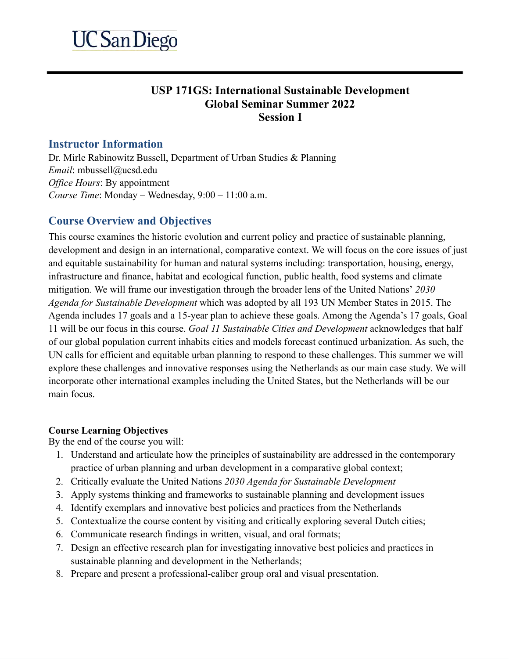# **USP 171GS: International Sustainable Development Global Seminar Summer 2022 Session I**

#### **Instructor Information**

Dr. Mirle Rabinowitz Bussell, Department of Urban Studies & Planning *Email:* mbussell@ucsd.edu *Office Hours: By appointment Course Time* : Monday – Wednesday, 9:00 – 11:00 a.m.

# **Course Overview and Objectives**

This course examines the historic evolution and current policy and practice of sustainable planning, development and design in an international, comparative context. We will focus on the core issues of just and equitable sustainability for human and natural systems including: transportation, housing, energy, infrastructure and finance, habitat and ecological function, public health, food systems and climate mitigation. We will frame our investigation through the broader lens of the United Nations' *2030 Agenda for Sustainable Development* which was adopted by all 193 UN Member States in 2015. The Agenda includes 17 goals and a 15-year plan to achieve these goals. Among the Agenda's 17 goals, Goal 11 will be our focus in this course. *Goal 11 Sustainable Cities and Development* acknowledges that half of our global population current inhabits cities and models forecast continued urbanization. As such, the UN calls for efficient and equitable urban planning to respond to these challenges. This summer we will explore these challenges and innovative responses using the Netherlands as our main case study. We will incorporate other international examples including the United States, but the Netherlands will be our main focus.

#### **Course Learning Objectives**

By the end of the course you will:

- 1. Understand and articulate how the principles of sustainability are addressed in the contemporary practice of urban planning and urban development in a comparative global context;
- 2. Critically evaluate the United Nations *2030 Agenda for Sustainable Development*
- 3. Apply systems thinking and frameworks to sustainable planning and development issues
- 4. Identify exemplars and innovative best policies and practices from the Netherlands
- 5. Contextualize the course content by visiting and critically exploring several Dutch cities;
- 6. Communicate research findings in written, visual, and oral formats;
- 7. Design an effective research plan for investigating innovative best policies and practices in sustainable planning and development in the Netherlands;
- 8. Prepare and present a professional-caliber group oral and visual presentation.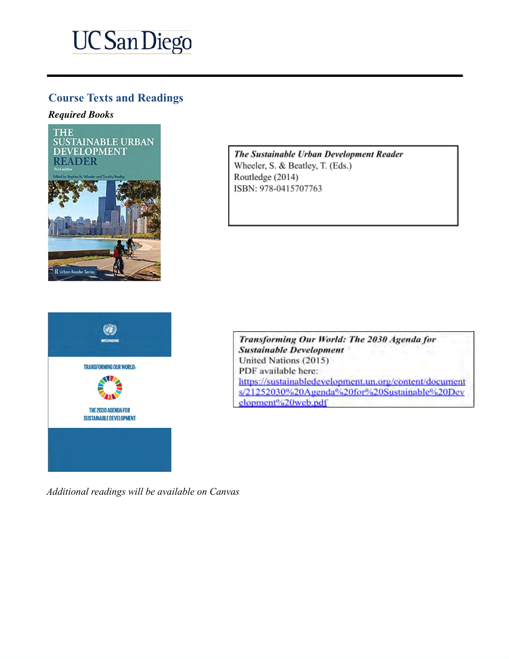# **UC San Diego**

# **Course Texts and Readings**

#### *Required Books*



The Sustainable Urban Development Reader Wheeler, S. & Beatley, T. (Eds.) Routledge (2014) ISBN: 978-0415707763



Transforming Our World: The 2030 Agenda for **Sustainable Development** United Nations (2015) PDF available here: https://sustainabledevelopment.un.org/content/document s/21252030%20Agenda%20for%20Sustainable%20Dev elopment%20web.pdf

*Additional readings will be available on Canvas*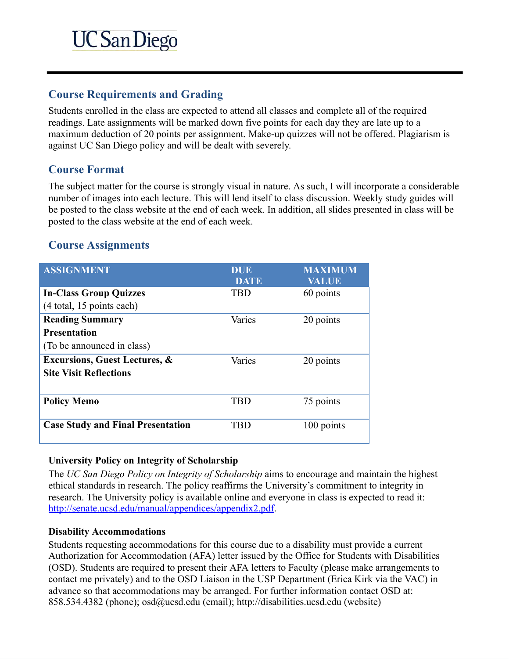### **Course Requirements and Grading**

Students enrolled in the class are expected to attend all classes and complete all of the required readings. Late assignments will be marked down five points for each day they are late up to a maximum deduction of 20 points per assignment. Make-up quizzes will not be offered. Plagiarism is against UC San Diego policy and will be dealt with severely.

# **Course Format**

The subject matter for the course is strongly visual in nature. As such, I will incorporate a considerable number of images into each lecture. This will lend itself to class discussion. Weekly study guides will be posted to the class website at the end of each week. In addition, all slides presented in class will be posted to the class website at the end of each week.

# **Course Assignments**

| <b>ASSIGNMENT</b>                        | <b>DUE</b><br><b>DATE</b> | <b>MAXIMUM</b><br>VALUE |
|------------------------------------------|---------------------------|-------------------------|
| <b>In-Class Group Quizzes</b>            | <b>TBD</b>                | 60 points               |
| (4 total, 15 points each)                |                           |                         |
| <b>Reading Summary</b>                   | Varies                    | 20 points               |
| <b>Presentation</b>                      |                           |                         |
| (To be announced in class)               |                           |                         |
| <b>Excursions, Guest Lectures, &amp;</b> | Varies                    | 20 points               |
| <b>Site Visit Reflections</b>            |                           |                         |
|                                          |                           |                         |
| <b>Policy Memo</b>                       | <b>TBD</b>                | 75 points               |
|                                          |                           |                         |
| <b>Case Study and Final Presentation</b> | TRD                       | 100 points              |
|                                          |                           |                         |

#### **University Policy on Integrity of Scholarship**

The *UC San Diego Policy on Integrity of Scholarship* aims to encourage and maintain the highest ethical standards in research. The policy reaffirms the University's commitment to integrity in research. The University policy is available online and everyone in class is expected to read it: http://senate.ucsd.edu/manual/appendices/appendix2.pdf.

#### **Disability Accommodations**

Students requesting accommodations for this course due to a disability must provide a current Authorization for Accommodation (AFA) letter issued by the Office for Students with Disabilities (OSD). Students are required to present their AFA letters to Faculty (please make arrangements to contact me privately) and to the OSD Liaison in the USP Department (Erica Kirk via the VAC) in advance so that accommodations may be arranged. For further information contact OSD at: [858.534.4382 \(phone\); osd@ucsd.edu](mailto:osd@ucsd.edu) (email); [http://disabilities.ucsd.edu](http://disabilities.ucsd.edu/) (website)